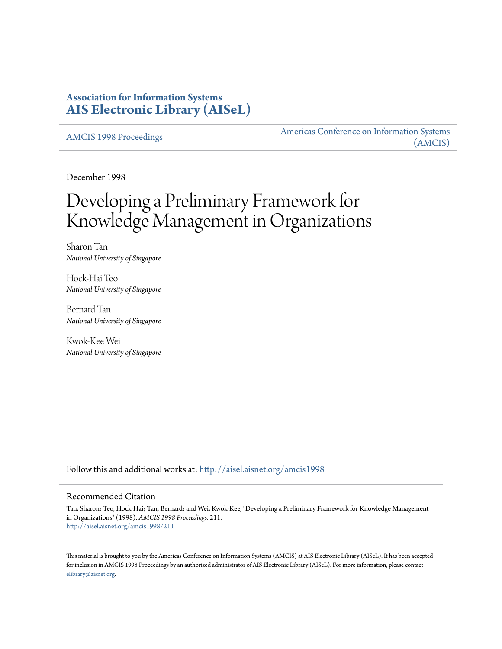# **Association for Information Systems [AIS Electronic Library \(AISeL\)](http://aisel.aisnet.org?utm_source=aisel.aisnet.org%2Famcis1998%2F211&utm_medium=PDF&utm_campaign=PDFCoverPages)**

[AMCIS 1998 Proceedings](http://aisel.aisnet.org/amcis1998?utm_source=aisel.aisnet.org%2Famcis1998%2F211&utm_medium=PDF&utm_campaign=PDFCoverPages)

[Americas Conference on Information Systems](http://aisel.aisnet.org/amcis?utm_source=aisel.aisnet.org%2Famcis1998%2F211&utm_medium=PDF&utm_campaign=PDFCoverPages) [\(AMCIS\)](http://aisel.aisnet.org/amcis?utm_source=aisel.aisnet.org%2Famcis1998%2F211&utm_medium=PDF&utm_campaign=PDFCoverPages)

December 1998

# Developing a Preliminary Framework for Knowledge Management in Organizations

Sharon Tan *National University of Singapore*

Hock-Hai Teo *National University of Singapore*

Bernard Tan *National University of Singapore*

Kwok-Kee Wei *National University of Singapore*

Follow this and additional works at: [http://aisel.aisnet.org/amcis1998](http://aisel.aisnet.org/amcis1998?utm_source=aisel.aisnet.org%2Famcis1998%2F211&utm_medium=PDF&utm_campaign=PDFCoverPages)

#### Recommended Citation

Tan, Sharon; Teo, Hock-Hai; Tan, Bernard; and Wei, Kwok-Kee, "Developing a Preliminary Framework for Knowledge Management in Organizations" (1998). *AMCIS 1998 Proceedings*. 211. [http://aisel.aisnet.org/amcis1998/211](http://aisel.aisnet.org/amcis1998/211?utm_source=aisel.aisnet.org%2Famcis1998%2F211&utm_medium=PDF&utm_campaign=PDFCoverPages)

This material is brought to you by the Americas Conference on Information Systems (AMCIS) at AIS Electronic Library (AISeL). It has been accepted for inclusion in AMCIS 1998 Proceedings by an authorized administrator of AIS Electronic Library (AISeL). For more information, please contact [elibrary@aisnet.org.](mailto:elibrary@aisnet.org%3E)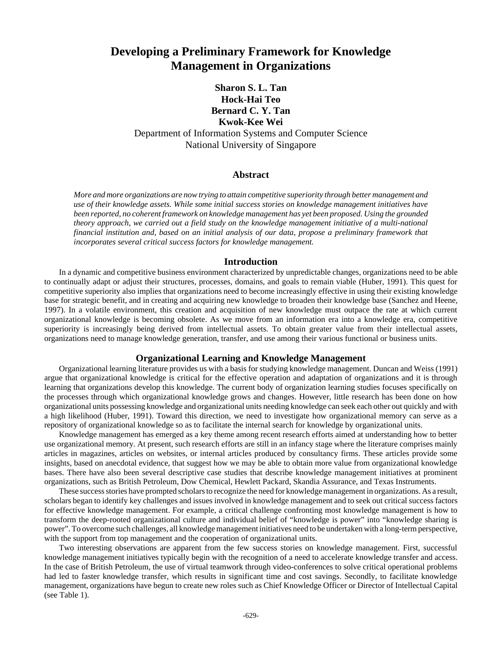# **Developing a Preliminary Framework for Knowledge Management in Organizations**

# **Sharon S. L. Tan Hock-Hai Teo Bernard C. Y. Tan Kwok-Kee Wei** Department of Information Systems and Computer Science National University of Singapore

### **Abstract**

*More and more organizations are now trying to attain competitive superiority through better management and use of their knowledge assets. While some initial success stories on knowledge management initiatives have been reported, no coherent framework on knowledge management has yet been proposed. Using the grounded theory approach, we carried out a field study on the knowledge management initiative of a multi-national financial institution and, based on an initial analysis of our data, propose a preliminary framework that incorporates several critical success factors for knowledge management.*

#### **Introduction**

In a dynamic and competitive business environment characterized by unpredictable changes, organizations need to be able to continually adapt or adjust their structures, processes, domains, and goals to remain viable (Huber, 1991). This quest for competitive superiority also implies that organizations need to become increasingly effective in using their existing knowledge base for strategic benefit, and in creating and acquiring new knowledge to broaden their knowledge base (Sanchez and Heene, 1997). In a volatile environment, this creation and acquisition of new knowledge must outpace the rate at which current organizational knowledge is becoming obsolete. As we move from an information era into a knowledge era, competitive superiority is increasingly being derived from intellectual assets. To obtain greater value from their intellectual assets, organizations need to manage knowledge generation, transfer, and use among their various functional or business units.

## **Organizational Learning and Knowledge Management**

Organizational learning literature provides us with a basis for studying knowledge management. Duncan and Weiss (1991) argue that organizational knowledge is critical for the effective operation and adaptation of organizations and it is through learning that organizations develop this knowledge. The current body of organization learning studies focuses specifically on the processes through which organizational knowledge grows and changes. However, little research has been done on how organizational units possessing knowledge and organizational units needing knowledge can seek each other out quickly and with a high likelihood (Huber, 1991). Toward this direction, we need to investigate how organizational memory can serve as a repository of organizational knowledge so as to facilitate the internal search for knowledge by organizational units.

Knowledge management has emerged as a key theme among recent research efforts aimed at understanding how to better use organizational memory. At present, such research efforts are still in an infancy stage where the literature comprises mainly articles in magazines, articles on websites, or internal articles produced by consultancy firms. These articles provide some insights, based on anecdotal evidence, that suggest how we may be able to obtain more value from organizational knowledge bases. There have also been several descriptive case studies that describe knowledge management initiatives at prominent organizations, such as British Petroleum, Dow Chemical, Hewlett Packard, Skandia Assurance, and Texas Instruments.

These success stories have prompted scholars to recognize the need for knowledge management in organizations. As a result, scholars began to identify key challenges and issues involved in knowledge management and to seek out critical success factors for effective knowledge management. For example, a critical challenge confronting most knowledge management is how to transform the deep-rooted organizational culture and individual belief of "knowledge is power" into "knowledge sharing is power". To overcome such challenges, all knowledge management initiatives need to be undertaken with a long-term perspective, with the support from top management and the cooperation of organizational units.

Two interesting observations are apparent from the few success stories on knowledge management. First, successful knowledge management initiatives typically begin with the recognition of a need to accelerate knowledge transfer and access. In the case of British Petroleum, the use of virtual teamwork through video-conferences to solve critical operational problems had led to faster knowledge transfer, which results in significant time and cost savings. Secondly, to facilitate knowledge management, organizations have begun to create new roles such as Chief Knowledge Officer or Director of Intellectual Capital (see Table 1).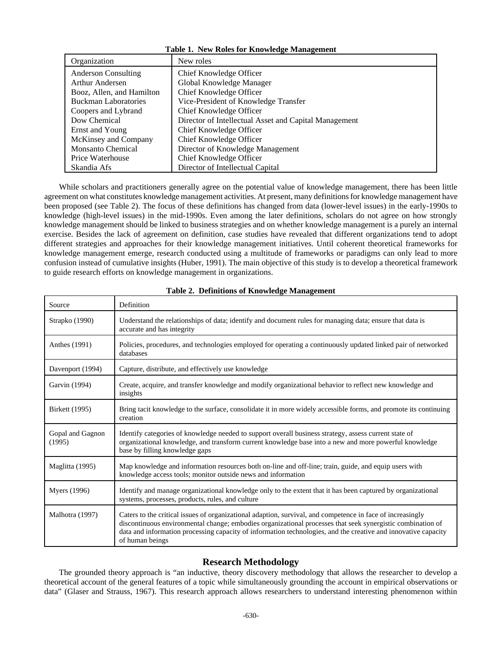| Table 1. New Roles for Rhowledge Management |                                                       |  |
|---------------------------------------------|-------------------------------------------------------|--|
| Organization                                | New roles                                             |  |
| <b>Anderson Consulting</b>                  | Chief Knowledge Officer                               |  |
| <b>Arthur Andersen</b>                      | Global Knowledge Manager                              |  |
| Booz, Allen, and Hamilton                   | Chief Knowledge Officer                               |  |
| <b>Buckman Laboratories</b>                 | Vice-President of Knowledge Transfer                  |  |
| Coopers and Lybrand                         | Chief Knowledge Officer                               |  |
| Dow Chemical                                | Director of Intellectual Asset and Capital Management |  |
| Ernst and Young                             | Chief Knowledge Officer                               |  |
| McKinsey and Company                        | Chief Knowledge Officer                               |  |
| <b>Monsanto Chemical</b>                    | Director of Knowledge Management                      |  |
| Price Waterhouse                            | Chief Knowledge Officer                               |  |
| Skandia Afs                                 | Director of Intellectual Capital                      |  |

**Table 1. New Roles for Knowledge Management**

While scholars and practitioners generally agree on the potential value of knowledge management, there has been little agreement on what constitutes knowledge management activities. At present, many definitions for knowledge management have been proposed (see Table 2). The focus of these definitions has changed from data (lower-level issues) in the early-1990s to knowledge (high-level issues) in the mid-1990s. Even among the later definitions, scholars do not agree on how strongly knowledge management should be linked to business strategies and on whether knowledge management is a purely an internal exercise. Besides the lack of agreement on definition, case studies have revealed that different organizations tend to adopt different strategies and approaches for their knowledge management initiatives. Until coherent theoretical frameworks for knowledge management emerge, research conducted using a multitude of frameworks or paradigms can only lead to more confusion instead of cumulative insights (Huber, 1991). The main objective of this study is to develop a theoretical framework to guide research efforts on knowledge management in organizations.

| Source                     | Definition                                                                                                                                                                                                                                                                                                                                                    |
|----------------------------|---------------------------------------------------------------------------------------------------------------------------------------------------------------------------------------------------------------------------------------------------------------------------------------------------------------------------------------------------------------|
| Strapko (1990)             | Understand the relationships of data; identify and document rules for managing data; ensure that data is<br>accurate and has integrity                                                                                                                                                                                                                        |
| Anthes (1991)              | Policies, procedures, and technologies employed for operating a continuously updated linked pair of networked<br>databases                                                                                                                                                                                                                                    |
| Davenport (1994)           | Capture, distribute, and effectively use knowledge                                                                                                                                                                                                                                                                                                            |
| Garvin (1994)              | Create, acquire, and transfer knowledge and modify organizational behavior to reflect new knowledge and<br>insights                                                                                                                                                                                                                                           |
| Birkett (1995)             | Bring tacit knowledge to the surface, consolidate it in more widely accessible forms, and promote its continuing<br>creation                                                                                                                                                                                                                                  |
| Gopal and Gagnon<br>(1995) | Identify categories of knowledge needed to support overall business strategy, assess current state of<br>organizational knowledge, and transform current knowledge base into a new and more powerful knowledge<br>base by filling knowledge gaps                                                                                                              |
| Maglitta (1995)            | Map knowledge and information resources both on-line and off-line; train, guide, and equip users with<br>knowledge access tools; monitor outside news and information                                                                                                                                                                                         |
| <b>Myers</b> (1996)        | Identify and manage organizational knowledge only to the extent that it has been captured by organizational<br>systems, processes, products, rules, and culture                                                                                                                                                                                               |
| Malhotra (1997)            | Caters to the critical issues of organizational adaption, survival, and competence in face of increasingly<br>discontinuous environmental change; embodies organizational processes that seek synergistic combination of<br>data and information processing capacity of information technologies, and the creative and innovative capacity<br>of human beings |

#### **Table 2. Definitions of Knowledge Management**

## **Research Methodology**

The grounded theory approach is "an inductive, theory discovery methodology that allows the researcher to develop a theoretical account of the general features of a topic while simultaneously grounding the account in empirical observations or data" (Glaser and Strauss, 1967). This research approach allows researchers to understand interesting phenomenon within